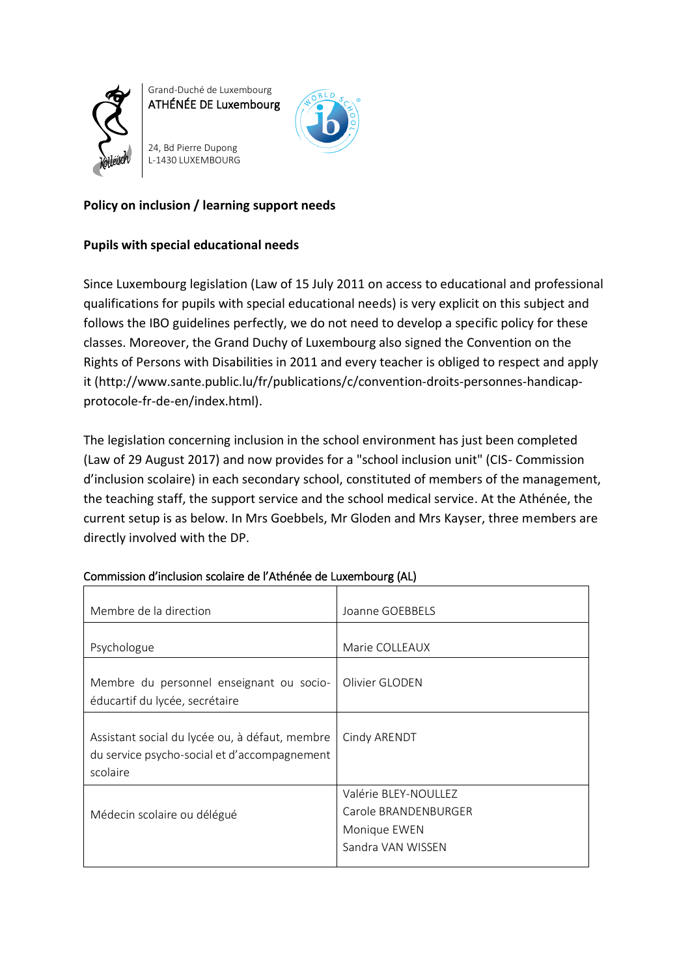

Grand-Duché de Luxembourg ATHÉNÉE DE Luxembourg

24, Bd Pierre Dupong L-1430 LUXEMBOURG



# **Policy on inclusion / learning support needs**

# **Pupils with special educational needs**

Since Luxembourg legislation (Law of 15 July 2011 on access to educational and professional qualifications for pupils with special educational needs) is very explicit on this subject and follows the IBO guidelines perfectly, we do not need to develop a specific policy for these classes. Moreover, the Grand Duchy of Luxembourg also signed the Convention on the Rights of Persons with Disabilities in 2011 and every teacher is obliged to respect and apply it (http://www.sante.public.lu/fr/publications/c/convention-droits-personnes-handicapprotocole-fr-de-en/index.html).

The legislation concerning inclusion in the school environment has just been completed (Law of 29 August 2017) and now provides for a "school inclusion unit" (CIS- Commission d'inclusion scolaire) in each secondary school, constituted of members of the management, the teaching staff, the support service and the school medical service. At the Athénée, the current setup is as below. In Mrs Goebbels, Mr Gloden and Mrs Kayser, three members are directly involved with the DP.

| Membre de la direction                                                                                     | Joanne GOEBBELS                                                                   |
|------------------------------------------------------------------------------------------------------------|-----------------------------------------------------------------------------------|
| Psychologue                                                                                                | Marie COLLEAUX                                                                    |
| Membre du personnel enseignant ou socio-<br>éducartif du lycée, secrétaire                                 | Olivier GLODEN                                                                    |
| Assistant social du lycée ou, à défaut, membre<br>du service psycho-social et d'accompagnement<br>scolaire | Cindy ARENDT                                                                      |
| Médecin scolaire ou délégué                                                                                | Valérie BLEY-NOULLEZ<br>Carole BRANDENBURGER<br>Monique EWEN<br>Sandra VAN WISSEN |

## Commission d'inclusion scolaire de l'Athénée de Luxembourg (AL)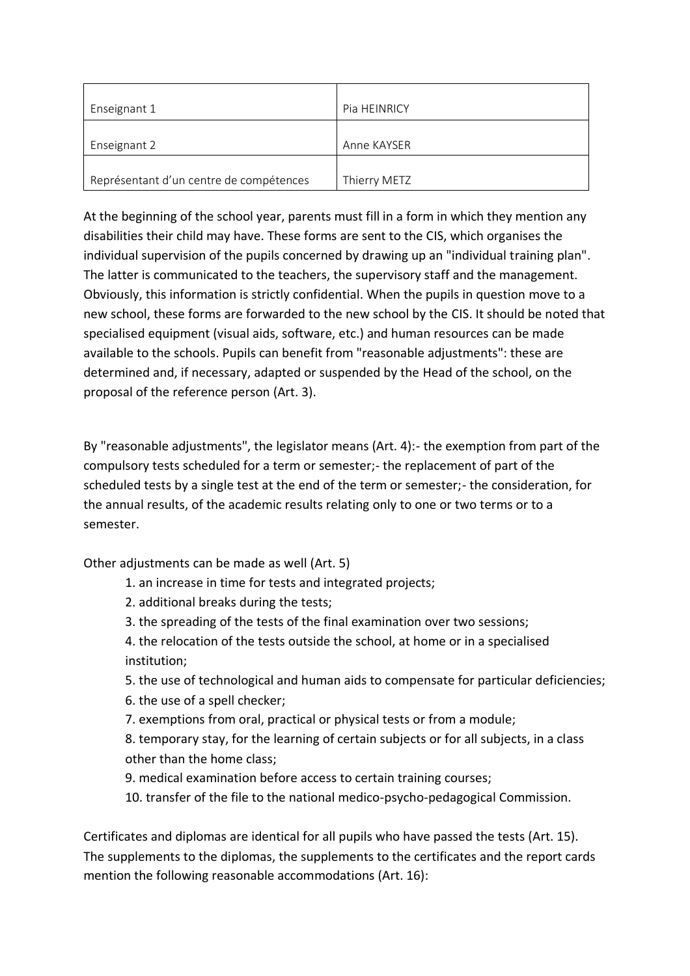| Enseignant 1                            | <b>Pia HEINRICY</b> |
|-----------------------------------------|---------------------|
|                                         |                     |
| Enseignant 2                            | Anne KAYSER         |
|                                         |                     |
| Représentant d'un centre de compétences | Thierry METZ        |

At the beginning of the school year, parents must fill in a form in which they mention any disabilities their child may have. These forms are sent to the CIS, which organises the individual supervision of the pupils concerned by drawing up an "individual training plan". The latter is communicated to the teachers, the supervisory staff and the management. Obviously, this information is strictly confidential. When the pupils in question move to a new school, these forms are forwarded to the new school by the CIS. It should be noted that specialised equipment (visual aids, software, etc.) and human resources can be made available to the schools. Pupils can benefit from "reasonable adjustments": these are determined and, if necessary, adapted or suspended by the Head of the school, on the proposal of the reference person (Art. 3).

By "reasonable adjustments", the legislator means (Art. 4):- the exemption from part of the compulsory tests scheduled for a term or semester;- the replacement of part of the scheduled tests by a single test at the end of the term or semester;- the consideration, for the annual results, of the academic results relating only to one or two terms or to a semester.

Other adjustments can be made as well (Art. 5)

- 1. an increase in time for tests and integrated projects;
- 2. additional breaks during the tests;
- 3. the spreading of the tests of the final examination over two sessions;

4. the relocation of the tests outside the school, at home or in a specialised institution;

5. the use of technological and human aids to compensate for particular deficiencies;

6. the use of a spell checker;

7. exemptions from oral, practical or physical tests or from a module;

8. temporary stay, for the learning of certain subjects or for all subjects, in a class other than the home class;

- 9. medical examination before access to certain training courses;
- 10. transfer of the file to the national medico-psycho-pedagogical Commission.

Certificates and diplomas are identical for all pupils who have passed the tests (Art. 15). The supplements to the diplomas, the supplements to the certificates and the report cards mention the following reasonable accommodations (Art. 16):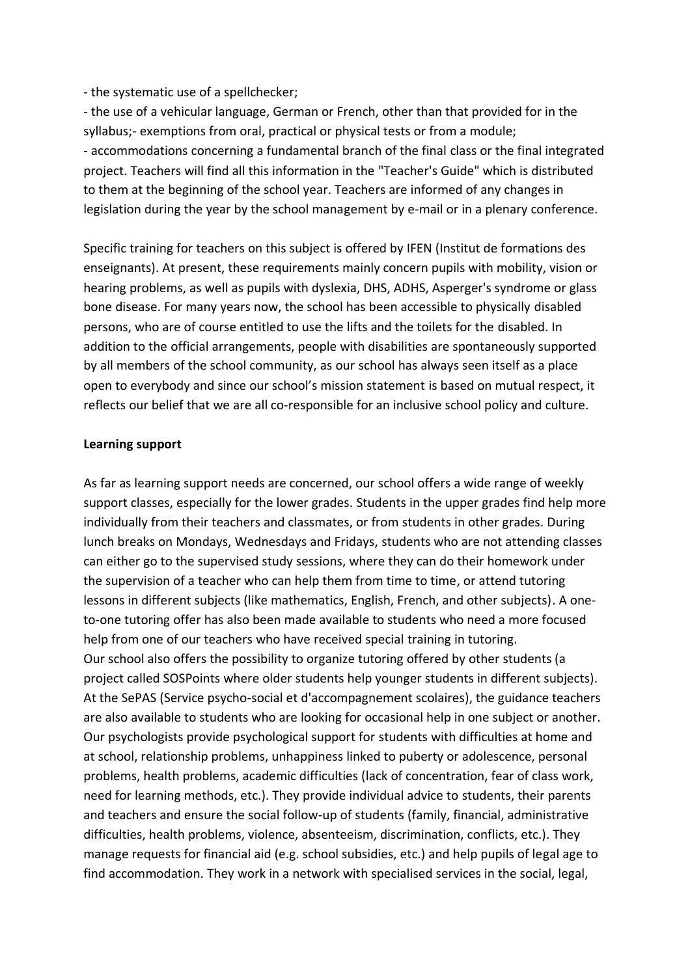- the systematic use of a spellchecker;

- the use of a vehicular language, German or French, other than that provided for in the syllabus;- exemptions from oral, practical or physical tests or from a module; - accommodations concerning a fundamental branch of the final class or the final integrated project. Teachers will find all this information in the "Teacher's Guide" which is distributed to them at the beginning of the school year. Teachers are informed of any changes in legislation during the year by the school management by e-mail or in a plenary conference.

Specific training for teachers on this subject is offered by IFEN (Institut de formations des enseignants). At present, these requirements mainly concern pupils with mobility, vision or hearing problems, as well as pupils with dyslexia, DHS, ADHS, Asperger's syndrome or glass bone disease. For many years now, the school has been accessible to physically disabled persons, who are of course entitled to use the lifts and the toilets for the disabled. In addition to the official arrangements, people with disabilities are spontaneously supported by all members of the school community, as our school has always seen itself as a place open to everybody and since our school's mission statement is based on mutual respect, it reflects our belief that we are all co-responsible for an inclusive school policy and culture.

## **Learning support**

As far as learning support needs are concerned, our school offers a wide range of weekly support classes, especially for the lower grades. Students in the upper grades find help more individually from their teachers and classmates, or from students in other grades. During lunch breaks on Mondays, Wednesdays and Fridays, students who are not attending classes can either go to the supervised study sessions, where they can do their homework under the supervision of a teacher who can help them from time to time, or attend tutoring lessons in different subjects (like mathematics, English, French, and other subjects). A oneto-one tutoring offer has also been made available to students who need a more focused help from one of our teachers who have received special training in tutoring. Our school also offers the possibility to organize tutoring offered by other students (a project called SOSPoints where older students help younger students in different subjects). At the SePAS (Service psycho-social et d'accompagnement scolaires), the guidance teachers are also available to students who are looking for occasional help in one subject or another. Our psychologists provide psychological support for students with difficulties at home and at school, relationship problems, unhappiness linked to puberty or adolescence, personal problems, health problems, academic difficulties (lack of concentration, fear of class work, need for learning methods, etc.). They provide individual advice to students, their parents and teachers and ensure the social follow-up of students (family, financial, administrative difficulties, health problems, violence, absenteeism, discrimination, conflicts, etc.). They manage requests for financial aid (e.g. school subsidies, etc.) and help pupils of legal age to find accommodation. They work in a network with specialised services in the social, legal,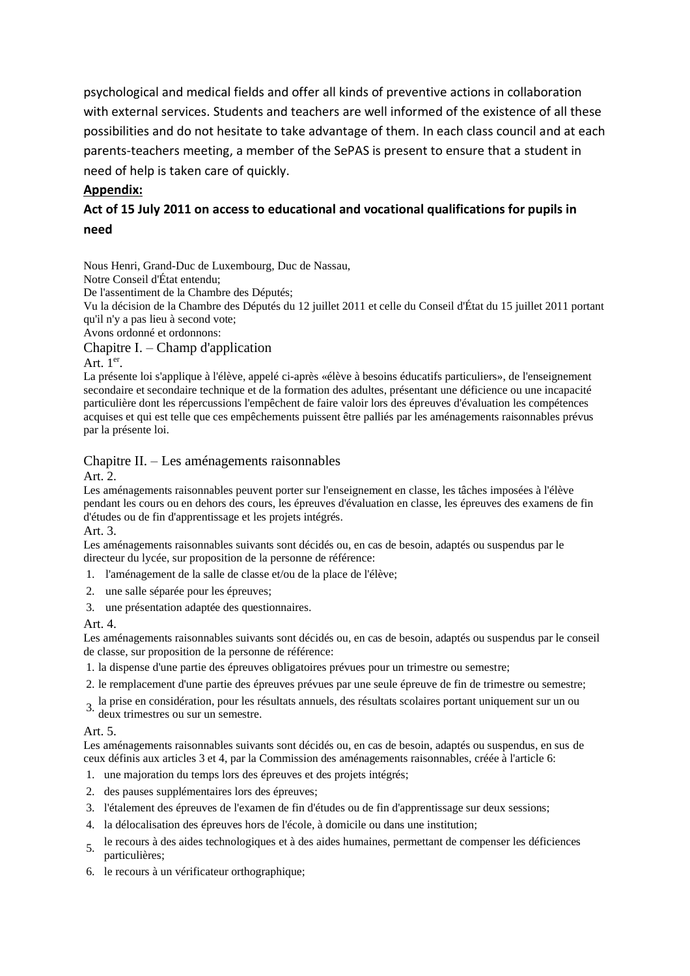psychological and medical fields and offer all kinds of preventive actions in collaboration with external services. Students and teachers are well informed of the existence of all these possibilities and do not hesitate to take advantage of them. In each class council and at each parents-teachers meeting, a member of the SePAS is present to ensure that a student in need of help is taken care of quickly.

## **Appendix:**

# **Act of 15 July 2011 on access to educational and vocational qualifications for pupils in need**

Nous Henri, Grand-Duc de Luxembourg, Duc de Nassau,

Notre Conseil d'État entendu;

De l'assentiment de la Chambre des Députés;

Vu la décision de la Chambre des Députés du 12 juillet 2011 et celle du Conseil d'État du 15 juillet 2011 portant qu'il n'y a pas lieu à second vote;

Avons ordonné et ordonnons:

### Chapitre I. – Champ d'application

### Art.  $1<sup>er</sup>$ .

La présente loi s'applique à l'élève, appelé ci-après «élève à besoins éducatifs particuliers», de l'enseignement secondaire et secondaire technique et de la formation des adultes, présentant une déficience ou une incapacité particulière dont les répercussions l'empêchent de faire valoir lors des épreuves d'évaluation les compétences acquises et qui est telle que ces empêchements puissent être palliés par les aménagements raisonnables prévus par la présente loi.

## Chapitre II. – Les aménagements raisonnables

Art. 2.

Les aménagements raisonnables peuvent porter sur l'enseignement en classe, les tâches imposées à l'élève pendant les cours ou en dehors des cours, les épreuves d'évaluation en classe, les épreuves des examens de fin d'études ou de fin d'apprentissage et les projets intégrés.

Art. 3.

Les aménagements raisonnables suivants sont décidés ou, en cas de besoin, adaptés ou suspendus par le directeur du lycée, sur proposition de la personne de référence:

- 1. l'aménagement de la salle de classe et/ou de la place de l'élève;
- 2. une salle séparée pour les épreuves;
- 3. une présentation adaptée des questionnaires.

### Art. 4.

Les aménagements raisonnables suivants sont décidés ou, en cas de besoin, adaptés ou suspendus par le conseil de classe, sur proposition de la personne de référence:

- 1. la dispense d'une partie des épreuves obligatoires prévues pour un trimestre ou semestre;
- 2. le remplacement d'une partie des épreuves prévues par une seule épreuve de fin de trimestre ou semestre;
- 3. la prise en considération, pour les résultats annuels, des résultats scolaires portant uniquement sur un ou deux trimestres ou sur un semestre.

### Art. 5.

Les aménagements raisonnables suivants sont décidés ou, en cas de besoin, adaptés ou suspendus, en sus de ceux définis aux articles 3 et 4, par la Commission des aménagements raisonnables, créée à l'article 6:

- 1. une majoration du temps lors des épreuves et des projets intégrés;
- 2. des pauses supplémentaires lors des épreuves;
- 3. l'étalement des épreuves de l'examen de fin d'études ou de fin d'apprentissage sur deux sessions;
- 4. la délocalisation des épreuves hors de l'école, à domicile ou dans une institution;
- 5. le recours à des aides technologiques et à des aides humaines, permettant de compenser les déficiences particulières;
- 6. le recours à un vérificateur orthographique;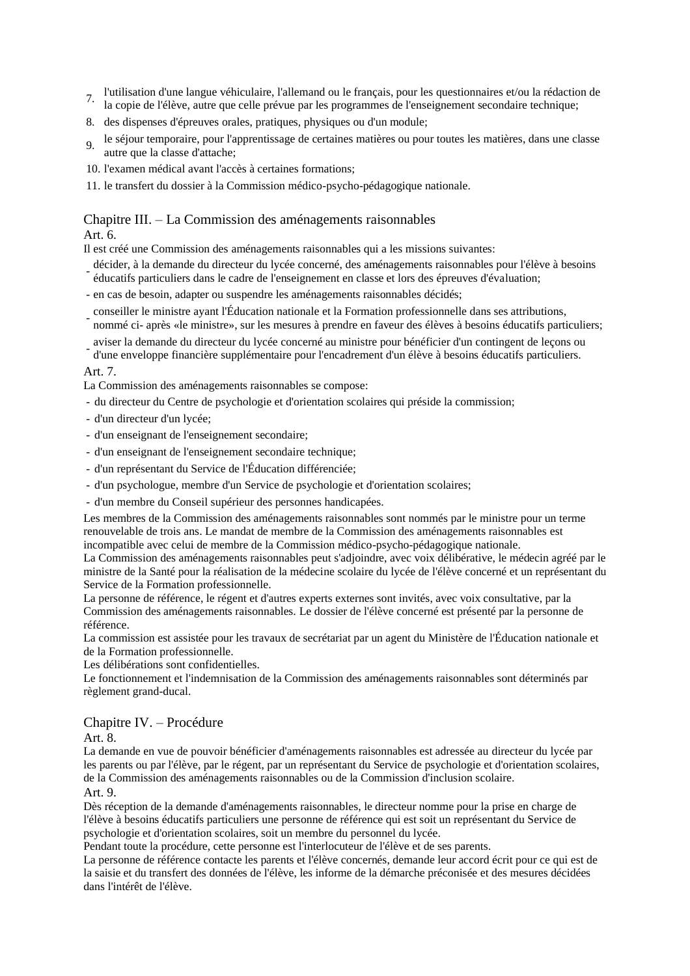- 7. l'utilisation d'une langue véhiculaire, l'allemand ou le français, pour les questionnaires et/ou la rédaction de
- la copie de l'élève, autre que celle prévue par les programmes de l'enseignement secondaire technique;
- 8. des dispenses d'épreuves orales, pratiques, physiques ou d'un module;
- 9. le séjour temporaire, pour l'apprentissage de certaines matières ou pour toutes les matières, dans une classe autre que la classe d'attache;
- 10. l'examen médical avant l'accès à certaines formations;
- 11. le transfert du dossier à la Commission médico-psycho-pédagogique nationale.

#### Chapitre III. – La Commission des aménagements raisonnables Art. 6.

Il est créé une Commission des aménagements raisonnables qui a les missions suivantes:

- éducatifs particuliers dans le cadre de l'enseignement en classe et lors des épreuves d'évaluation; décider, à la demande du directeur du lycée concerné, des aménagements raisonnables pour l'élève à besoins
- en cas de besoin, adapter ou suspendre les aménagements raisonnables décidés;
- conseiller le ministre ayant l'Éducation nationale et la Formation professionnelle dans ses attributions, nommé ci- après «le ministre», sur les mesures à prendre en faveur des élèves à besoins éducatifs particuliers;
- aviser la demande du directeur du lycée concerné au ministre pour bénéficier d'un contingent de leçons ou d'une enveloppe financière supplémentaire pour l'encadrement d'un élève à besoins éducatifs particuliers.

#### Art. 7.

La Commission des aménagements raisonnables se compose:

- du directeur du Centre de psychologie et d'orientation scolaires qui préside la commission;
- d'un directeur d'un lycée;
- d'un enseignant de l'enseignement secondaire;
- d'un enseignant de l'enseignement secondaire technique;
- d'un représentant du Service de l'Éducation différenciée;
- d'un psychologue, membre d'un Service de psychologie et d'orientation scolaires;
- d'un membre du Conseil supérieur des personnes handicapées.

Les membres de la Commission des aménagements raisonnables sont nommés par le ministre pour un terme renouvelable de trois ans. Le mandat de membre de la Commission des aménagements raisonnables est incompatible avec celui de membre de la Commission médico-psycho-pédagogique nationale.

La Commission des aménagements raisonnables peut s'adjoindre, avec voix délibérative, le médecin agréé par le ministre de la Santé pour la réalisation de la médecine scolaire du lycée de l'élève concerné et un représentant du Service de la Formation professionnelle.

La personne de référence, le régent et d'autres experts externes sont invités, avec voix consultative, par la Commission des aménagements raisonnables. Le dossier de l'élève concerné est présenté par la personne de référence.

La commission est assistée pour les travaux de secrétariat par un agent du Ministère de l'Éducation nationale et de la Formation professionnelle.

Les délibérations sont confidentielles.

Le fonctionnement et l'indemnisation de la Commission des aménagements raisonnables sont déterminés par règlement grand-ducal.

#### Chapitre IV. – Procédure

Art. 8.

La demande en vue de pouvoir bénéficier d'aménagements raisonnables est adressée au directeur du lycée par les parents ou par l'élève, par le régent, par un représentant du Service de psychologie et d'orientation scolaires, de la Commission des aménagements raisonnables ou de la Commission d'inclusion scolaire.

Art. 9.

Dès réception de la demande d'aménagements raisonnables, le directeur nomme pour la prise en charge de l'élève à besoins éducatifs particuliers une personne de référence qui est soit un représentant du Service de psychologie et d'orientation scolaires, soit un membre du personnel du lycée.

Pendant toute la procédure, cette personne est l'interlocuteur de l'élève et de ses parents.

La personne de référence contacte les parents et l'élève concernés, demande leur accord écrit pour ce qui est de la saisie et du transfert des données de l'élève, les informe de la démarche préconisée et des mesures décidées dans l'intérêt de l'élève.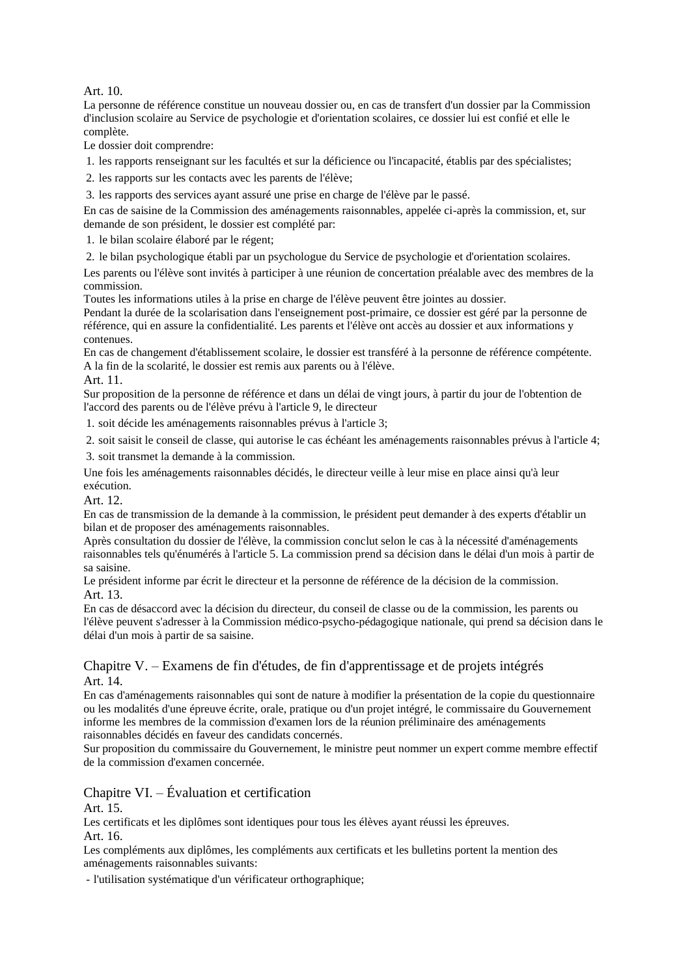Art. 10.

La personne de référence constitue un nouveau dossier ou, en cas de transfert d'un dossier par la Commission d'inclusion scolaire au Service de psychologie et d'orientation scolaires, ce dossier lui est confié et elle le complète.

Le dossier doit comprendre:

1. les rapports renseignant sur les facultés et sur la déficience ou l'incapacité, établis par des spécialistes;

2. les rapports sur les contacts avec les parents de l'élève;

3. les rapports des services ayant assuré une prise en charge de l'élève par le passé.

En cas de saisine de la Commission des aménagements raisonnables, appelée ci-après la commission, et, sur demande de son président, le dossier est complété par:

1. le bilan scolaire élaboré par le régent;

2. le bilan psychologique établi par un psychologue du Service de psychologie et d'orientation scolaires.

Les parents ou l'élève sont invités à participer à une réunion de concertation préalable avec des membres de la commission.

Toutes les informations utiles à la prise en charge de l'élève peuvent être jointes au dossier.

Pendant la durée de la scolarisation dans l'enseignement post-primaire, ce dossier est géré par la personne de référence, qui en assure la confidentialité. Les parents et l'élève ont accès au dossier et aux informations y contenues.

En cas de changement d'établissement scolaire, le dossier est transféré à la personne de référence compétente. A la fin de la scolarité, le dossier est remis aux parents ou à l'élève.

Art. 11.

Sur proposition de la personne de référence et dans un délai de vingt jours, à partir du jour de l'obtention de l'accord des parents ou de l'élève prévu à l'article 9, le directeur

1. soit décide les aménagements raisonnables prévus à l'article 3;

2. soit saisit le conseil de classe, qui autorise le cas échéant les aménagements raisonnables prévus à l'article 4;

3. soit transmet la demande à la commission.

Une fois les aménagements raisonnables décidés, le directeur veille à leur mise en place ainsi qu'à leur exécution.

Art. 12.

En cas de transmission de la demande à la commission, le président peut demander à des experts d'établir un bilan et de proposer des aménagements raisonnables.

Après consultation du dossier de l'élève, la commission conclut selon le cas à la nécessité d'aménagements raisonnables tels qu'énumérés à l'article 5. La commission prend sa décision dans le délai d'un mois à partir de sa saisine.

Le président informe par écrit le directeur et la personne de référence de la décision de la commission. Art. 13.

En cas de désaccord avec la décision du directeur, du conseil de classe ou de la commission, les parents ou l'élève peuvent s'adresser à la Commission médico-psycho-pédagogique nationale, qui prend sa décision dans le délai d'un mois à partir de sa saisine.

#### Chapitre V. – Examens de fin d'études, de fin d'apprentissage et de projets intégrés Art. 14.

En cas d'aménagements raisonnables qui sont de nature à modifier la présentation de la copie du questionnaire ou les modalités d'une épreuve écrite, orale, pratique ou d'un projet intégré, le commissaire du Gouvernement informe les membres de la commission d'examen lors de la réunion préliminaire des aménagements raisonnables décidés en faveur des candidats concernés.

Sur proposition du commissaire du Gouvernement, le ministre peut nommer un expert comme membre effectif de la commission d'examen concernée.

# Chapitre VI. – Évaluation et certification

Art. 15.

Les certificats et les diplômes sont identiques pour tous les élèves ayant réussi les épreuves. Art. 16.

Les compléments aux diplômes, les compléments aux certificats et les bulletins portent la mention des aménagements raisonnables suivants:

- l'utilisation systématique d'un vérificateur orthographique;